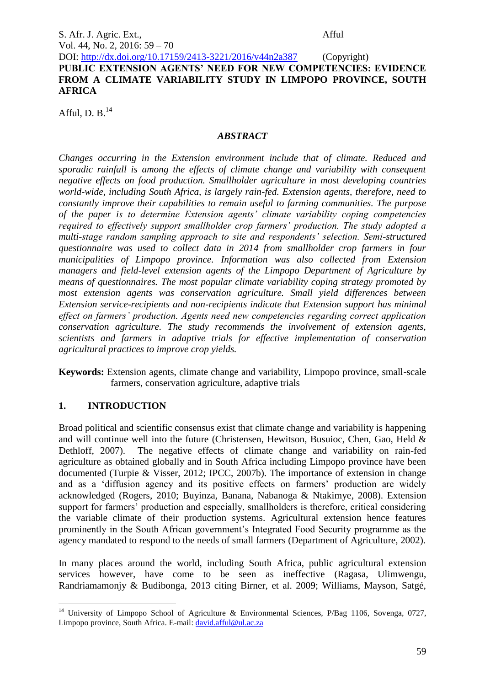DOI: http://dx.doi.org/10.17159/2413-3221/2016/v44n2a387 (Copyright) **PUBLIC EXTENSION AGENTS' NEED FOR NEW COMPETENCIES: EVIDENCE FROM A CLIMATE VARIABILITY STUDY IN LIMPOPO PROVINCE, SOUTH AFRICA**

Afful, D. B. $<sup>14</sup>$ </sup>

#### *ABSTRACT*

*Changes occurring in the Extension environment include that of climate. Reduced and sporadic rainfall is among the effects of climate change and variability with consequent negative effects on food production. Smallholder agriculture in most developing countries world-wide, including South Africa, is largely rain-fed. Extension agents, therefore, need to constantly improve their capabilities to remain useful to farming communities. The purpose of the paper is to determine Extension agents' climate variability coping competencies required to effectively support smallholder crop farmers' production. The study adopted a multi-stage random sampling approach to site and respondents' selection. Semi-structured questionnaire was used to collect data in 2014 from smallholder crop farmers in four municipalities of Limpopo province. Information was also collected from Extension managers and field-level extension agents of the Limpopo Department of Agriculture by means of questionnaires. The most popular climate variability coping strategy promoted by most extension agents was conservation agriculture. Small yield differences between Extension service-recipients and non-recipients indicate that Extension support has minimal effect on farmers' production. Agents need new competencies regarding correct application conservation agriculture. The study recommends the involvement of extension agents, scientists and farmers in adaptive trials for effective implementation of conservation agricultural practices to improve crop yields.* 

**Keywords:** Extension agents, climate change and variability, Limpopo province, small-scale farmers, conservation agriculture, adaptive trials

## **1. INTRODUCTION**

Broad political and scientific consensus exist that climate change and variability is happening and will continue well into the future (Christensen, Hewitson, Busuioc, Chen, Gao, Held & Dethloff, 2007). The negative effects of climate change and variability on rain-fed agriculture as obtained globally and in South Africa including Limpopo province have been documented (Turpie & Visser, 2012; IPCC, 2007b). The importance of extension in change and as a 'diffusion agency and its positive effects on farmers' production are widely acknowledged (Rogers, 2010; Buyinza, Banana, Nabanoga & Ntakimye, 2008). Extension support for farmers' production and especially, smallholders is therefore, critical considering the variable climate of their production systems. Agricultural extension hence features prominently in the South African government's Integrated Food Security programme as the agency mandated to respond to the needs of small farmers (Department of Agriculture, 2002).

In many places around the world, including South Africa, public agricultural extension services however, have come to be seen as ineffective (Ragasa, Ulimwengu, Randriamamonjy & Budibonga, 2013 citing Birner, et al. 2009; Williams, Mayson, Satgé,

<sup>1</sup> <sup>14</sup> University of Limpopo School of Agriculture & Environmental Sciences, P/Bag 1106, Sovenga, 0727, Limpopo province, South Africa. E-mail: [david.afful@ul.ac.za](mailto:david.afful@ul.ac.za)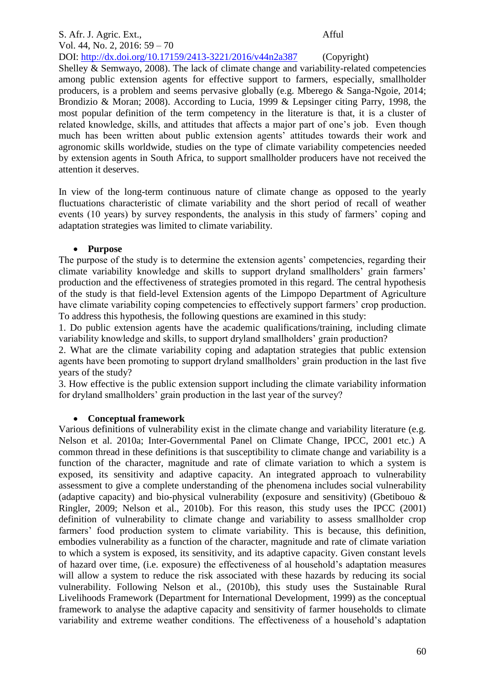# S. Afr. J. Agric. Ext., Afful Vol. 44, No. 2, 2016: 59 – 70

DOI: http://dx.doi.org/10.17159/2413-3221/2016/v44n2a387 (Copyright) Shelley & Semwayo, 2008). The lack of climate change and variability-related competencies among public extension agents for effective support to farmers, especially, smallholder producers, is a problem and seems pervasive globally (e.g. Mberego & Sanga-Ngoie, 2014; Brondizio & Moran; 2008). According to Lucia, 1999 & Lepsinger citing Parry, 1998, the most popular definition of the term competency in the literature is that, it is a cluster of related knowledge, skills, and attitudes that affects a major part of one's job. Even though much has been written about public extension agents' attitudes towards their work and agronomic skills worldwide, studies on the type of climate variability competencies needed by extension agents in South Africa, to support smallholder producers have not received the attention it deserves.

In view of the long-term continuous nature of climate change as opposed to the yearly fluctuations characteristic of climate variability and the short period of recall of weather events (10 years) by survey respondents, the analysis in this study of farmers' coping and adaptation strategies was limited to climate variability.

## **Purpose**

The purpose of the study is to determine the extension agents' competencies, regarding their climate variability knowledge and skills to support dryland smallholders' grain farmers' production and the effectiveness of strategies promoted in this regard. The central hypothesis of the study is that field-level Extension agents of the Limpopo Department of Agriculture have climate variability coping competencies to effectively support farmers' crop production. To address this hypothesis, the following questions are examined in this study:

1. Do public extension agents have the academic qualifications/training, including climate variability knowledge and skills, to support dryland smallholders' grain production?

2. What are the climate variability coping and adaptation strategies that public extension agents have been promoting to support dryland smallholders' grain production in the last five years of the study?

3. How effective is the public extension support including the climate variability information for dryland smallholders' grain production in the last year of the survey?

## **Conceptual framework**

Various definitions of vulnerability exist in the climate change and variability literature (e.g. Nelson et al. 2010a; Inter-Governmental Panel on Climate Change, IPCC, 2001 etc.) A common thread in these definitions is that susceptibility to climate change and variability is a function of the character, magnitude and rate of climate variation to which a system is exposed, its sensitivity and adaptive capacity. An integrated approach to vulnerability assessment to give a complete understanding of the phenomena includes social vulnerability (adaptive capacity) and bio-physical vulnerability (exposure and sensitivity) (Gbetibouo  $\&$ Ringler, 2009; Nelson et al., 2010b). For this reason, this study uses the IPCC (2001) definition of vulnerability to climate change and variability to assess smallholder crop farmers' food production system to climate variability. This is because, this definition, embodies vulnerability as a function of the character, magnitude and rate of climate variation to which a system is exposed, its sensitivity, and its adaptive capacity. Given constant levels of hazard over time, (i.e. exposure) the effectiveness of al household's adaptation measures will allow a system to reduce the risk associated with these hazards by reducing its social vulnerability. Following Nelson et al., (2010b), this study uses the Sustainable Rural Livelihoods Framework (Department for International Development, 1999) as the conceptual framework to analyse the adaptive capacity and sensitivity of farmer households to climate variability and extreme weather conditions. The effectiveness of a household's adaptation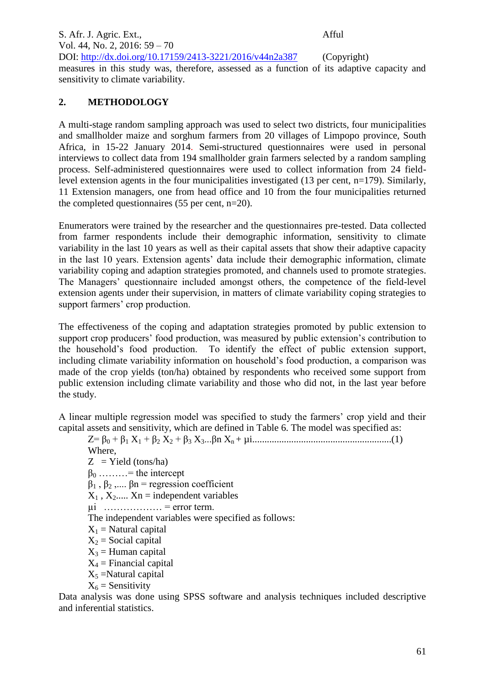S. Afr. J. Agric. Ext., Afful Vol. 44, No. 2, 2016: 59 – 70 DOI: http://dx.doi.org/10.17159/2413-3221/2016/v44n2a387 (Copyright) measures in this study was, therefore, assessed as a function of its adaptive capacity and sensitivity to climate variability.

## **2. METHODOLOGY**

A multi-stage random sampling approach was used to select two districts, four municipalities and smallholder maize and sorghum farmers from 20 villages of Limpopo province, South Africa, in 15-22 January 2014. Semi-structured questionnaires were used in personal interviews to collect data from 194 smallholder grain farmers selected by a random sampling process. Self-administered questionnaires were used to collect information from 24 fieldlevel extension agents in the four municipalities investigated  $(13 \text{ per cent, n=179})$ . Similarly, 11 Extension managers, one from head office and 10 from the four municipalities returned the completed questionnaires (55 per cent, n=20).

Enumerators were trained by the researcher and the questionnaires pre-tested. Data collected from farmer respondents include their demographic information, sensitivity to climate variability in the last 10 years as well as their capital assets that show their adaptive capacity in the last 10 years. Extension agents' data include their demographic information, climate variability coping and adaption strategies promoted, and channels used to promote strategies. The Managers' questionnaire included amongst others, the competence of the field-level extension agents under their supervision, in matters of climate variability coping strategies to support farmers' crop production.

The effectiveness of the coping and adaptation strategies promoted by public extension to support crop producers' food production, was measured by public extension's contribution to the household's food production. To identify the effect of public extension support, including climate variability information on household's food production, a comparison was made of the crop yields (ton/ha) obtained by respondents who received some support from public extension including climate variability and those who did not, in the last year before the study.

A linear multiple regression model was specified to study the farmers' crop yield and their capital assets and sensitivity, which are defined in Table 6. The model was specified as:

Z= β<sup>0</sup> + β<sup>1</sup> X<sup>1</sup> + β<sup>2</sup> X<sup>2</sup> + β<sup>3</sup> X3...βn Xn + µi.........................................................(1) Where,

 $Z = Yield (tons/ha)$  $\beta_0$  ………= the intercept  $\beta_1$ ,  $\beta_2$ ,....  $\beta_n$  = regression coefficient  $X_1$ ,  $X_2$ .....  $X_n$  = independent variables  $\mu$ i ……………… = error term. The independent variables were specified as follows:  $X_1$  = Natural capital  $X_2$  = Social capital  $X_3$  = Human capital  $X_4$  = Financial capital  $X_5$  =Natural capital  $X_6$  = Sensitivity

Data analysis was done using SPSS software and analysis techniques included descriptive and inferential statistics.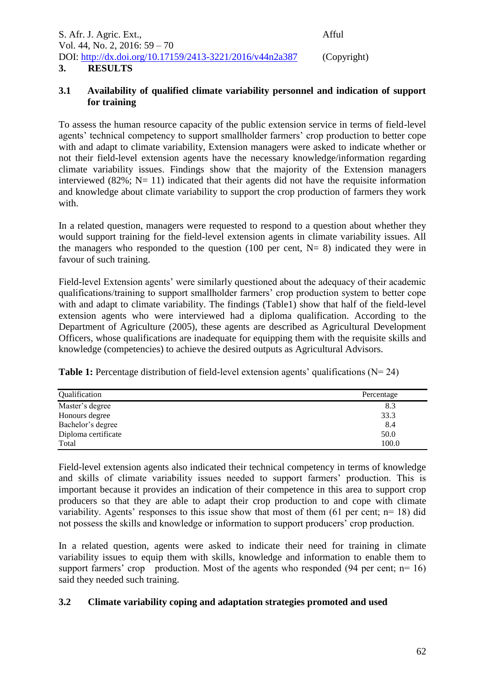| S. Afr. J. Agric. Ext.,                                  | Afful       |
|----------------------------------------------------------|-------------|
| Vol. 44, No. 2, 2016: $59 - 70$                          |             |
| DOI: http://dx.doi.org/10.17159/2413-3221/2016/v44n2a387 | (Copyright) |
| <b>RESULTS</b><br>3.                                     |             |

## **3.1 Availability of qualified climate variability personnel and indication of support for training**

To assess the human resource capacity of the public extension service in terms of field-level agents' technical competency to support smallholder farmers' crop production to better cope with and adapt to climate variability, Extension managers were asked to indicate whether or not their field-level extension agents have the necessary knowledge/information regarding climate variability issues. Findings show that the majority of the Extension managers interviewed (82%;  $N=11$ ) indicated that their agents did not have the requisite information and knowledge about climate variability to support the crop production of farmers they work with.

In a related question, managers were requested to respond to a question about whether they would support training for the field-level extension agents in climate variability issues. All the managers who responded to the question (100 per cent,  $N = 8$ ) indicated they were in favour of such training.

Field-level Extension agents' were similarly questioned about the adequacy of their academic qualifications/training to support smallholder farmers' crop production system to better cope with and adapt to climate variability. The findings (Table1) show that half of the field-level extension agents who were interviewed had a diploma qualification. According to the Department of Agriculture (2005), these agents are described as Agricultural Development Officers, whose qualifications are inadequate for equipping them with the requisite skills and knowledge (competencies) to achieve the desired outputs as Agricultural Advisors.

**Table 1:** Percentage distribution of field-level extension agents' qualifications (N= 24)

| Qualification       | Percentage |
|---------------------|------------|
| Master's degree     | 8.3        |
| Honours degree      | 33.3       |
| Bachelor's degree   | 8.4        |
| Diploma certificate | 50.0       |
| Total               | 100.0      |

Field-level extension agents also indicated their technical competency in terms of knowledge and skills of climate variability issues needed to support farmers' production. This is important because it provides an indication of their competence in this area to support crop producers so that they are able to adapt their crop production to and cope with climate variability. Agents' responses to this issue show that most of them (61 per cent; n= 18) did not possess the skills and knowledge or information to support producers' crop production.

In a related question, agents were asked to indicate their need for training in climate variability issues to equip them with skills, knowledge and information to enable them to support farmers' crop production. Most of the agents who responded (94 per cent;  $n=16$ ) said they needed such training.

## **3.2 Climate variability coping and adaptation strategies promoted and used**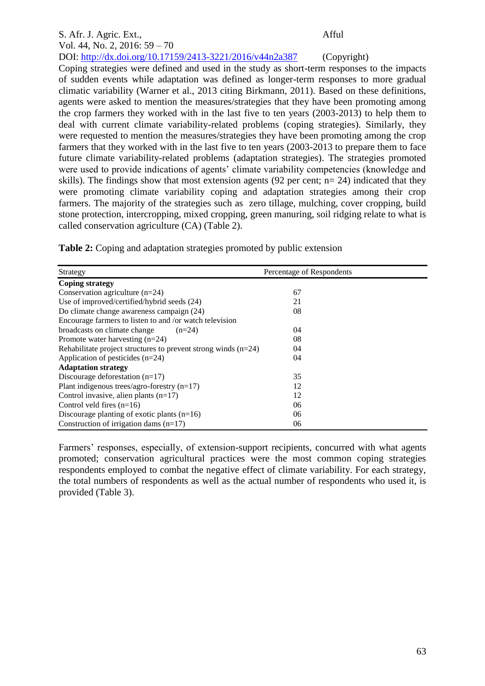#### S. Afr. J. Agric. Ext., Afful Vol. 44, No. 2, 2016: 59 – 70 DOI: http://dx.doi.org/10.17159/2413-3221/2016/v44n2a387 (Copyright) Coping strategies were defined and used in the study as short-term responses to the impacts of sudden events while adaptation was defined as longer-term responses to more gradual climatic variability (Warner et al., 2013 citing Birkmann, 2011). Based on these definitions, agents were asked to mention the measures/strategies that they have been promoting among the crop farmers they worked with in the last five to ten years (2003-2013) to help them to deal with current climate variability-related problems (coping strategies). Similarly, they were requested to mention the measures/strategies they have been promoting among the crop farmers that they worked with in the last five to ten years (2003-2013 to prepare them to face future climate variability-related problems (adaptation strategies). The strategies promoted were used to provide indications of agents' climate variability competencies (knowledge and skills). The findings show that most extension agents (92 per cent;  $n= 24$ ) indicated that they were promoting climate variability coping and adaptation strategies among their crop farmers. The majority of the strategies such as zero tillage, mulching, cover cropping, build stone protection, intercropping, mixed cropping, green manuring, soil ridging relate to what is

**Table 2:** Coping and adaptation strategies promoted by public extension

called conservation agriculture (CA) (Table 2).

| Strategy                                                         | Percentage of Respondents |  |
|------------------------------------------------------------------|---------------------------|--|
| <b>Coping strategy</b>                                           |                           |  |
| Conservation agriculture $(n=24)$                                | 67                        |  |
| Use of improved/certified/hybrid seeds (24)                      | 21                        |  |
| Do climate change awareness campaign (24)                        | 08                        |  |
| Encourage farmers to listen to and /or watch television          |                           |  |
| broadcasts on climate change<br>$(n=24)$                         | 04                        |  |
| Promote water harvesting $(n=24)$                                | 08                        |  |
| Rehabilitate project structures to prevent strong winds $(n=24)$ | 04                        |  |
| Application of pesticides $(n=24)$                               | 04                        |  |
| <b>Adaptation strategy</b>                                       |                           |  |
| Discourage deforestation $(n=17)$                                | 35                        |  |
| Plant indigenous trees/agro-forestry $(n=17)$                    | 12                        |  |
| Control invasive, alien plants $(n=17)$                          | 12                        |  |
| Control veld fires $(n=16)$                                      | 06                        |  |
| Discourage planting of exotic plants $(n=16)$                    | 06                        |  |
| Construction of irrigation dams $(n=17)$                         | 06                        |  |

Farmers' responses, especially, of extension-support recipients, concurred with what agents promoted; conservation agricultural practices were the most common coping strategies respondents employed to combat the negative effect of climate variability. For each strategy, the total numbers of respondents as well as the actual number of respondents who used it, is provided (Table 3).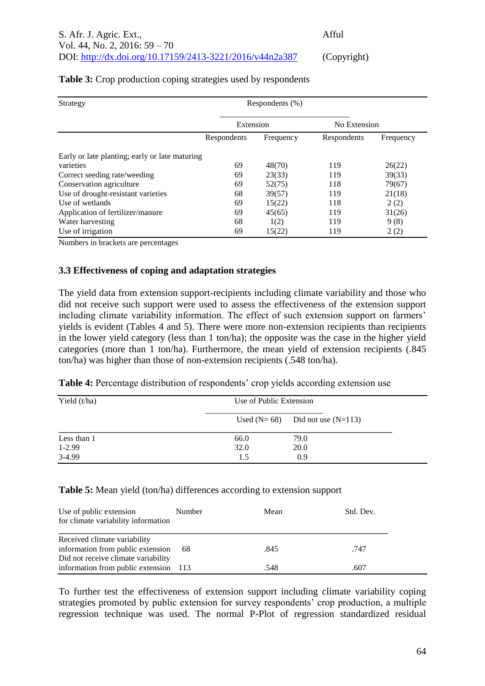| Strategy                                       |             | Respondents $(\% )$ |              |           |
|------------------------------------------------|-------------|---------------------|--------------|-----------|
|                                                | Extension   |                     | No Extension |           |
|                                                | Respondents | Frequency           | Respondents  | Frequency |
| Early or late planting; early or late maturing |             |                     |              |           |
| varieties                                      | 69          | 48(70)              | 119          | 26(22)    |
| Correct seeding rate/weeding                   | 69          | 23(33)              | 119          | 39(33)    |
| Conservation agriculture                       | 69          | 52(75)              | 118          | 79(67)    |
| Use of drought-resistant varieties             | 68          | 39(57)              | 119          | 21(18)    |
| Use of wetlands                                | 69          | 15(22)              | 118          | 2(2)      |
| Application of fertilizer/manure               | 69          | 45(65)              | 119          | 31(26)    |
| Water harvesting                               | 68          | 1(2)                | 119          | 9(8)      |
| Use of irrigation                              | 69          | 15(22)              | 119          | 2(2)      |

## **Table 3:** Crop production coping strategies used by respondents

Numbers in brackets are percentages

#### **3.3 Effectiveness of coping and adaptation strategies**

The yield data from extension support-recipients including climate variability and those who did not receive such support were used to assess the effectiveness of the extension support including climate variability information. The effect of such extension support on farmers' yields is evident (Tables 4 and 5). There were more non-extension recipients than recipients in the lower yield category (less than 1 ton/ha); the opposite was the case in the higher yield categories (more than 1 ton/ha). Furthermore, the mean yield of extension recipients (.845 ton/ha) was higher than those of non-extension recipients (.548 ton/ha).

| Table 4: Percentage distribution of respondents' crop yields according extension use |  |  |  |  |
|--------------------------------------------------------------------------------------|--|--|--|--|
|                                                                                      |  |  |  |  |

| Yield $(t/ha)$ | Use of Public Extension |                                     |  |
|----------------|-------------------------|-------------------------------------|--|
|                |                         | Used $(N=68)$ Did not use $(N=113)$ |  |
| Less than 1    | 66.0                    | 79.0                                |  |
| $1-2.99$       | 32.0                    | 20.0                                |  |
| 3-4.99         | 1.5                     | 0.9                                 |  |

#### **Table 5:** Mean yield (ton/ha) differences according to extension support

| Use of public extension<br>for climate variability information    | Number | Mean | Std. Dev. |
|-------------------------------------------------------------------|--------|------|-----------|
| Received climate variability<br>information from public extension | -68    | .845 | .747      |
| Did not receive climate variability                               |        |      |           |
| information from public extension 113                             |        | .548 | .607      |

To further test the effectiveness of extension support including climate variability coping strategies promoted by public extension for survey respondents' crop production, a multiple regression technique was used. The normal P-Plot of regression standardized residual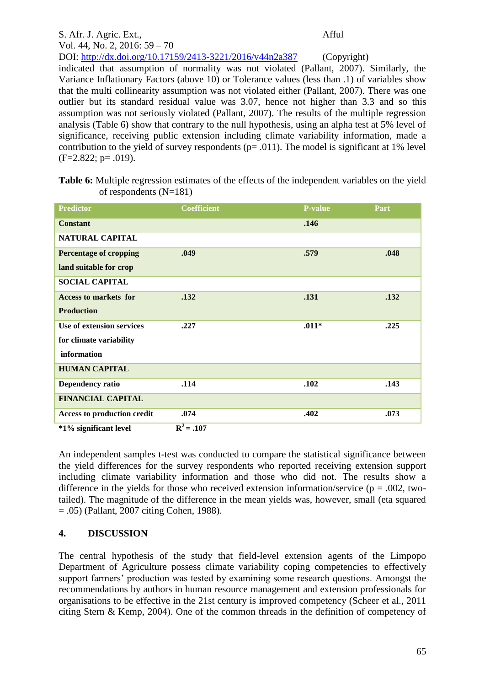## S. Afr. J. Agric. Ext., Afful Vol. 44, No. 2, 2016: 59 – 70 DOI: http://dx.doi.org/10.17159/2413-3221/2016/v44n2a387 (Copyright) indicated that assumption of normality was not violated (Pallant, 2007). Similarly, the Variance Inflationary Factors (above 10) or Tolerance values (less than .1) of variables show that the multi collinearity assumption was not violated either (Pallant, 2007). There was one outlier but its standard residual value was 3.07, hence not higher than 3.3 and so this assumption was not seriously violated (Pallant, 2007). The results of the multiple regression analysis (Table 6) show that contrary to the null hypothesis, using an alpha test at 5% level of significance, receiving public extension including climate variability information, made a contribution to the yield of survey respondents ( $p = .011$ ). The model is significant at 1% level  $(F=2.822; p=.019)$ .

| Table 6: Multiple regression estimates of the effects of the independent variables on the yield |  |  |
|-------------------------------------------------------------------------------------------------|--|--|
| of respondents $(N=181)$                                                                        |  |  |

| <b>Predictor</b>                   | <b>Coefficient</b> | <b>P-value</b> | Part |
|------------------------------------|--------------------|----------------|------|
| <b>Constant</b>                    |                    | .146           |      |
| <b>NATURAL CAPITAL</b>             |                    |                |      |
| <b>Percentage of cropping</b>      | .049               | .579           | .048 |
| land suitable for crop             |                    |                |      |
| <b>SOCIAL CAPITAL</b>              |                    |                |      |
| <b>Access to markets for</b>       | .132               | .131           | .132 |
| <b>Production</b>                  |                    |                |      |
| Use of extension services          | .227               | $.011*$        | .225 |
| for climate variability            |                    |                |      |
| information                        |                    |                |      |
| <b>HUMAN CAPITAL</b>               |                    |                |      |
| <b>Dependency ratio</b>            | .114               | .102           | .143 |
| <b>FINANCIAL CAPITAL</b>           |                    |                |      |
| <b>Access to production credit</b> | .074               | .402           | .073 |
| *1% significant level              | $R^2 = .107$       |                |      |

An independent samples t-test was conducted to compare the statistical significance between the yield differences for the survey respondents who reported receiving extension support including climate variability information and those who did not. The results show a difference in the yields for those who received extension information/service ( $p = .002$ , twotailed). The magnitude of the difference in the mean yields was, however, small (eta squared = .05) (Pallant, 2007 citing Cohen, 1988).

## **4. DISCUSSION**

The central hypothesis of the study that field-level extension agents of the Limpopo Department of Agriculture possess climate variability coping competencies to effectively support farmers' production was tested by examining some research questions. Amongst the recommendations by authors in human resource management and extension professionals for organisations to be effective in the 21st century is improved competency (Scheer et al., 2011 citing Stern & Kemp, 2004). One of the common threads in the definition of competency of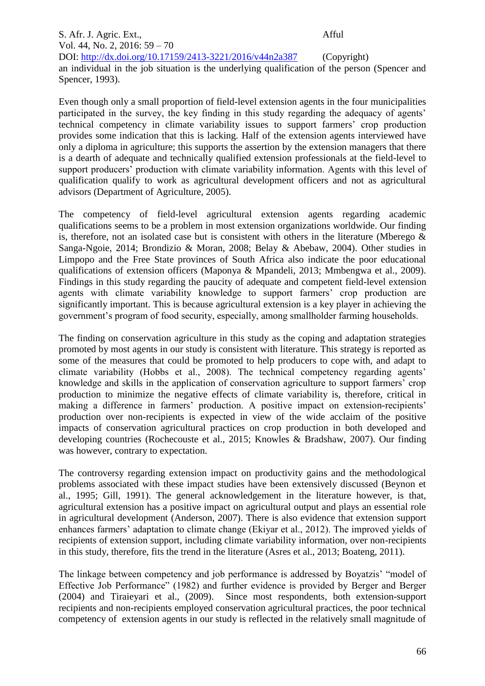S. Afr. J. Agric. Ext., Afful Vol. 44, No. 2, 2016: 59 – 70 DOI: http://dx.doi.org/10.17159/2413-3221/2016/v44n2a387 (Copyright) an individual in the job situation is the underlying qualification of the person (Spencer and Spencer, 1993).

Even though only a small proportion of field-level extension agents in the four municipalities participated in the survey, the key finding in this study regarding the adequacy of agents' technical competency in climate variability issues to support farmers' crop production provides some indication that this is lacking. Half of the extension agents interviewed have only a diploma in agriculture; this supports the assertion by the extension managers that there is a dearth of adequate and technically qualified extension professionals at the field-level to support producers' production with climate variability information. Agents with this level of qualification qualify to work as agricultural development officers and not as agricultural advisors (Department of Agriculture, 2005).

The competency of field-level agricultural extension agents regarding academic qualifications seems to be a problem in most extension organizations worldwide. Our finding is, therefore, not an isolated case but is consistent with others in the literature (Mberego  $\&$ Sanga-Ngoie, 2014; Brondizio & Moran, 2008; Belay & Abebaw, 2004). Other studies in Limpopo and the Free State provinces of South Africa also indicate the poor educational qualifications of extension officers (Maponya & Mpandeli, 2013; Mmbengwa et al., 2009). Findings in this study regarding the paucity of adequate and competent field-level extension agents with climate variability knowledge to support farmers' crop production are significantly important. This is because agricultural extension is a key player in achieving the government's program of food security, especially, among smallholder farming households.

The finding on conservation agriculture in this study as the coping and adaptation strategies promoted by most agents in our study is consistent with literature. This strategy is reported as some of the measures that could be promoted to help producers to cope with, and adapt to climate variability (Hobbs et al., 2008). The technical competency regarding agents' knowledge and skills in the application of conservation agriculture to support farmers' crop production to minimize the negative effects of climate variability is, therefore, critical in making a difference in farmers' production. A positive impact on extension-recipients' production over non-recipients is expected in view of the wide acclaim of the positive impacts of conservation agricultural practices on crop production in both developed and developing countries (Rochecouste et al., 2015; Knowles & Bradshaw, 2007). Our finding was however, contrary to expectation.

The controversy regarding extension impact on productivity gains and the methodological problems associated with these impact studies have been extensively discussed (Beynon et al., 1995; Gill, 1991). The general acknowledgement in the literature however, is that, agricultural extension has a positive impact on agricultural output and plays an essential role in agricultural development (Anderson, 2007). There is also evidence that extension support enhances farmers' adaptation to climate change (Ekiyar et al., 2012). The improved yields of recipients of extension support, including climate variability information, over non-recipients in this study, therefore, fits the trend in the literature (Asres et al., 2013; Boateng, 2011).

The linkage between competency and job performance is addressed by Boyatzis' "model of Effective Job Performance" (1982) and further evidence is provided by Berger and Berger (2004) and Tiraieyari et al., (2009). Since most respondents, both extension-support recipients and non-recipients employed conservation agricultural practices, the poor technical competency of extension agents in our study is reflected in the relatively small magnitude of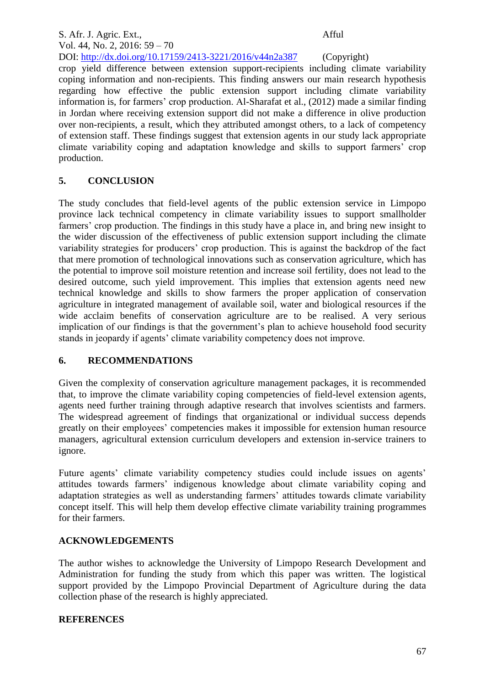## S. Afr. J. Agric. Ext., Afful Vol. 44, No. 2, 2016: 59 – 70 DOI: http://dx.doi.org/10.17159/2413-3221/2016/v44n2a387 (Copyright) crop yield difference between extension support-recipients including climate variability coping information and non-recipients. This finding answers our main research hypothesis regarding how effective the public extension support including climate variability information is, for farmers' crop production. Al-Sharafat et al., (2012) made a similar finding in Jordan where receiving extension support did not make a difference in olive production over non-recipients, a result, which they attributed amongst others, to a lack of competency of extension staff. These findings suggest that extension agents in our study lack appropriate climate variability coping and adaptation knowledge and skills to support farmers' crop production.

## **5. CONCLUSION**

The study concludes that field-level agents of the public extension service in Limpopo province lack technical competency in climate variability issues to support smallholder farmers' crop production. The findings in this study have a place in, and bring new insight to the wider discussion of the effectiveness of public extension support including the climate variability strategies for producers' crop production. This is against the backdrop of the fact that mere promotion of technological innovations such as conservation agriculture, which has the potential to improve soil moisture retention and increase soil fertility, does not lead to the desired outcome, such yield improvement. This implies that extension agents need new technical knowledge and skills to show farmers the proper application of conservation agriculture in integrated management of available soil, water and biological resources if the wide acclaim benefits of conservation agriculture are to be realised. A very serious implication of our findings is that the government's plan to achieve household food security stands in jeopardy if agents' climate variability competency does not improve.

## **6. RECOMMENDATIONS**

Given the complexity of conservation agriculture management packages, it is recommended that, to improve the climate variability coping competencies of field-level extension agents, agents need further training through adaptive research that involves scientists and farmers. The widespread agreement of findings that organizational or individual success depends greatly on their employees' competencies makes it impossible for extension human resource managers, agricultural extension curriculum developers and extension in-service trainers to ignore.

Future agents' climate variability competency studies could include issues on agents' attitudes towards farmers' indigenous knowledge about climate variability coping and adaptation strategies as well as understanding farmers' attitudes towards climate variability concept itself. This will help them develop effective climate variability training programmes for their farmers.

## **ACKNOWLEDGEMENTS**

The author wishes to acknowledge the University of Limpopo Research Development and Administration for funding the study from which this paper was written. The logistical support provided by the Limpopo Provincial Department of Agriculture during the data collection phase of the research is highly appreciated.

## **REFERENCES**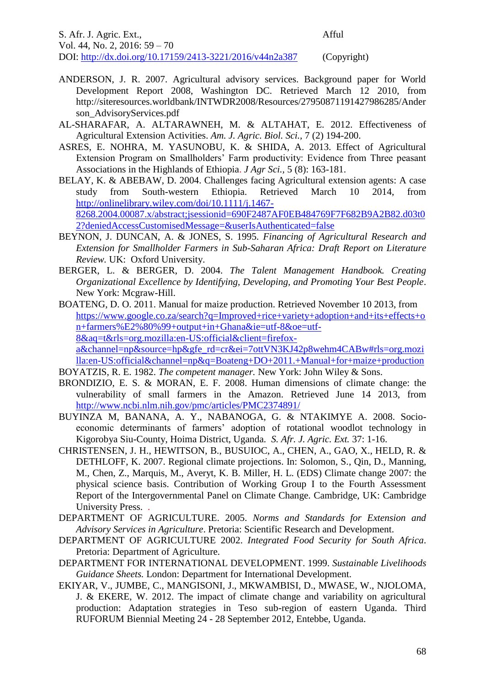S. Afr. J. Agric. Ext., Afful Vol. 44, No. 2, 2016: 59 – 70 DOI: http://dx.doi.org/10.17159/2413-3221/2016/v44n2a387 (Copyright)

- ANDERSON, J. R. 2007. Agricultural advisory services. Background paper for World Development Report 2008, Washington DC. Retrieved March 12 2010, from http://siteresources.worldbank/INTWDR2008/Resources/27950871191427986285/Ander son\_AdvisoryServices.pdf
- AL-SHARAFAR, A. ALTARAWNEH, M. & ALTAHAT, E. 2012. Effectiveness of Agricultural Extension Activities. *Am. J. Agric. Biol. Sci.,* 7 (2) 194-200.
- ASRES, E. NOHRA, M. YASUNOBU, K. & SHIDA, A. 2013. Effect of Agricultural Extension Program on Smallholders' Farm productivity: Evidence from Three peasant Associations in the Highlands of Ethiopia. *J Agr Sci.,* 5 (8): 163-181.
- BELAY, K. & ABEBAW, D. 2004. Challenges facing Agricultural extension agents: A case study from South-western Ethiopia. Retrieved March 10 2014, from [http://onlinelibrary.wiley.com/doi/10.1111/j.1467-](http://onlinelibrary.wiley.com/doi/10.1111/j.1467-%20%20%20%20%208268.2004.00087.x/abstract;jsessionid=690F2487AF0EB484769F7F682B9A2B82.d03t0%20%20%20%202?deniedAccessCustomisedMessage=&userIsAuthenticated=false) [8268.2004.00087.x/abstract;jsessionid=690F2487AF0EB484769F7F682B9A2B82.d03t0](http://onlinelibrary.wiley.com/doi/10.1111/j.1467-%20%20%20%20%208268.2004.00087.x/abstract;jsessionid=690F2487AF0EB484769F7F682B9A2B82.d03t0%20%20%20%202?deniedAccessCustomisedMessage=&userIsAuthenticated=false)  [2?deniedAccessCustomisedMessage=&userIsAuthenticated=false](http://onlinelibrary.wiley.com/doi/10.1111/j.1467-%20%20%20%20%208268.2004.00087.x/abstract;jsessionid=690F2487AF0EB484769F7F682B9A2B82.d03t0%20%20%20%202?deniedAccessCustomisedMessage=&userIsAuthenticated=false)
- BEYNON, J. DUNCAN, A. & JONES, S. 1995. *Financing of Agricultural Research and Extension for Smallholder Farmers in Sub-Saharan Africa: Draft Report on Literature Review.* UK: Oxford University.
- BERGER, L. & BERGER, D. 2004. *The Talent Management Handbook. Creating Organizational Excellence by Identifying, Developing, and Promoting Your Best People*. New York: Mcgraw-Hill.
- BOATENG, D. O. 2011. Manual for maize production. Retrieved November 10 2013, from [https://www.google.co.za/search?q=Improved+rice+variety+adoption+and+its+effects+o](https://www.google.co.za/search?q=Improved+rice+variety+adoption+and+its+effects+on+farmers%E2%80%99+output+in+Ghana&ie=utf-8&oe=utf-8&aq=t&rls=org.mozilla:en-US:official&client=firefox-a&channel=np&source=hp&gfe_rd=cr&ei=7ottVN3KJ42p8wehm4CABw#rls=org.mozilla:en-US:official&channel=np&q=Boateng+DO+2011.+Manual+for+maize+production) [n+farmers%E2%80%99+output+in+Ghana&ie=utf-8&oe=utf-](https://www.google.co.za/search?q=Improved+rice+variety+adoption+and+its+effects+on+farmers%E2%80%99+output+in+Ghana&ie=utf-8&oe=utf-8&aq=t&rls=org.mozilla:en-US:official&client=firefox-a&channel=np&source=hp&gfe_rd=cr&ei=7ottVN3KJ42p8wehm4CABw#rls=org.mozilla:en-US:official&channel=np&q=Boateng+DO+2011.+Manual+for+maize+production)[8&aq=t&rls=org.mozilla:en-US:official&client=firefox-](https://www.google.co.za/search?q=Improved+rice+variety+adoption+and+its+effects+on+farmers%E2%80%99+output+in+Ghana&ie=utf-8&oe=utf-8&aq=t&rls=org.mozilla:en-US:official&client=firefox-a&channel=np&source=hp&gfe_rd=cr&ei=7ottVN3KJ42p8wehm4CABw#rls=org.mozilla:en-US:official&channel=np&q=Boateng+DO+2011.+Manual+for+maize+production)

[a&channel=np&source=hp&gfe\\_rd=cr&ei=7ottVN3KJ42p8wehm4CABw#rls=org.mozi](https://www.google.co.za/search?q=Improved+rice+variety+adoption+and+its+effects+on+farmers%E2%80%99+output+in+Ghana&ie=utf-8&oe=utf-8&aq=t&rls=org.mozilla:en-US:official&client=firefox-a&channel=np&source=hp&gfe_rd=cr&ei=7ottVN3KJ42p8wehm4CABw#rls=org.mozilla:en-US:official&channel=np&q=Boateng+DO+2011.+Manual+for+maize+production) [lla:en-US:official&channel=np&q=Boateng+DO+2011.+Manual+for+maize+production](https://www.google.co.za/search?q=Improved+rice+variety+adoption+and+its+effects+on+farmers%E2%80%99+output+in+Ghana&ie=utf-8&oe=utf-8&aq=t&rls=org.mozilla:en-US:official&client=firefox-a&channel=np&source=hp&gfe_rd=cr&ei=7ottVN3KJ42p8wehm4CABw#rls=org.mozilla:en-US:official&channel=np&q=Boateng+DO+2011.+Manual+for+maize+production) BOYATZIS, R. E. 1982. *The competent manager.* New York: John Wiley & Sons.

[BRONDIZIO,](http://www.ncbi.nlm.nih.gov/pubmed/?term=Brondizio%20ES%5Bauth%5D) E. S. & [MORAN,](http://www.ncbi.nlm.nih.gov/pubmed/?term=Moran%20EF%5Bauth%5D) E. F. 2008. Human dimensions of climate change: the vulnerability of small farmers in the Amazon. Retrieved June 14 2013, from

<http://www.ncbi.nlm.nih.gov/pmc/articles/PMC2374891/>

- BUYINZA M, BANANA, A. Y., NABANOGA, G. & NTAKIMYE A. 2008. Socioeconomic determinants of farmers' adoption of rotational woodlot technology in Kigorobya Siu-County, Hoima District, Uganda. *S. Afr. J. Agric. Ext.* 37: 1-16.
- CHRISTENSEN, J. H., HEWITSON, B., BUSUIOC, A., CHEN, A., GAO, X., HELD, R. & DETHLOFF, K. 2007. Regional climate projections. In: Solomon, S., Qin, D., Manning, M., Chen, Z., Marquis, M., Averyt, K. B. Miller, H. L. (EDS) Climate change 2007: the physical science basis. Contribution of Working Group I to the Fourth Assessment Report of the Intergovernmental Panel on Climate Change. Cambridge, UK: Cambridge University Press. .
- DEPARTMENT OF AGRICULTURE. 2005. *Norms and Standards for Extension and Advisory Services in Agriculture*. Pretoria: Scientific Research and Development.
- DEPARTMENT OF AGRICULTURE 2002. *Integrated Food Security for South Africa*. Pretoria: Department of Agriculture.
- DEPARTMENT FOR INTERNATIONAL DEVELOPMENT. 1999. *Sustainable Livelihoods Guidance Sheets.* London: Department for International Development.
- EKIYAR, V., JUMBE, C., MANGISONI, J., MKWAMBISI, D., MWASE, W., NJOLOMA, J. & EKERE, W. 2012. The impact of climate change and variability on agricultural production: Adaptation strategies in Teso sub-region of eastern Uganda. Third RUFORUM Biennial Meeting 24 - 28 September 2012, Entebbe, Uganda.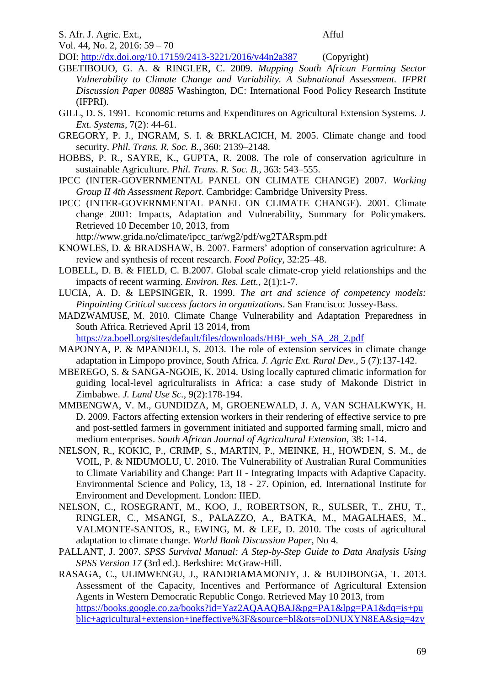S. Afr. J. Agric. Ext., Afful

Vol. 44, No. 2, 2016: 59 – 70

DOI: http://dx.doi.org/10.17159/2413-3221/2016/v44n2a387 (Copyright)

- GBETIBOUO, G. A. & RINGLER, C. 2009. *Mapping South African Farming Sector Vulnerability to Climate Change and Variability. A Subnational Assessment. IFPRI Discussion Paper 00885* Washington, DC: International Food Policy Research Institute (IFPRI).
- GILL, D. S. 1991. Economic returns and Expenditures on Agricultural Extension Systems. *J. Ext. Systems,* 7(2): 44-61.
- GREGORY, P. J., INGRAM, S. I. & BRKLACICH, M. 2005. Climate change and food security. *Phil. Trans. R. Soc. B.*, 360: 2139–2148.
- HOBBS, P. R., SAYRE, K., GUPTA, R. 2008. The role of conservation agriculture in sustainable Agriculture. *Phil. Trans. R. Soc. B.,* 363: 543–555.
- IPCC (INTER-GOVERNMENTAL PANEL ON CLIMATE CHANGE) 2007. *Working Group II 4th Assessment Report*. Cambridge: Cambridge University Press.
- IPCC (INTER-GOVERNMENTAL PANEL ON CLIMATE CHANGE). 2001. Climate change 2001: Impacts, Adaptation and Vulnerability, Summary for Policymakers. Retrieved 10 December 10, 2013, from

http://www.grida.no/climate/ipcc\_tar/wg2/pdf/wg2TARspm.pdf

- KNOWLES, D. & BRADSHAW, B. 2007. Farmers' adoption of conservation agriculture: A review and synthesis of recent research. *Food Policy,* 32:25–48.
- LOBELL, D. B. & FIELD, C. B.2007. Global scale climate-crop yield relationships and the impacts of recent warming. *Environ. Res. Lett.,* 2(1):1-7.
- LUCIA, A. D. & LEPSINGER, R. 1999. *The art and science of competency models: Pinpointing Critical success factors in organizations*. San Francisco: Jossey-Bass.
- MADZWAMUSE, M. 2010. Climate Change Vulnerability and Adaptation Preparedness in South Africa. Retrieved April 13 2014, from

[https://za.boell.org/sites/default/files/downloads/HBF\\_web\\_SA\\_28\\_2.pdf](https://za.boell.org/sites/default/files/downloads/HBF_web_SA_28_2.pdf)

- MAPONYA, P. & MPANDELI, S. 2013. The role of extension services in climate change adaptation in Limpopo province, South Africa. *J. Agric Ext. Rural Dev.,* 5 (7):137-142.
- MBEREGO, S. & SANGA-NGOIE, K. 2014. Using locally captured climatic information for guiding local-level agriculturalists in Africa: a case study of Makonde District in Zimbabwe. *J. Land Use Sc.,* 9(2):178-194.
- MMBENGWA, V. M., GUNDIDZA, M, GROENEWALD, J. A, VAN SCHALKWYK, H. D. 2009. Factors affecting extension workers in their rendering of effective service to pre and post-settled farmers in government initiated and supported farming small, micro and medium enterprises. *South African Journal of Agricultural Extension*, 38: 1-14.
- NELSON, R., KOKIC, P., CRIMP, S., MARTIN, P., MEINKE, H., HOWDEN, S. M., de VOIL, P. & NIDUMOLU, U. 2010. The Vulnerability of Australian Rural Communities to Climate Variability and Change: Part II - Integrating Impacts with Adaptive Capacity. Environmental Science and Policy, 13, 18 - 27. Opinion, ed. International Institute for Environment and Development. London: IIED.
- NELSON, C., ROSEGRANT, M., KOO, J., ROBERTSON, R., SULSER, T., ZHU, T., RINGLER, C., MSANGI, S., PALAZZO, A., BATKA, M., MAGALHAES, M., VALMONTE-SANTOS, R., EWING, M. & LEE, D. 2010. The costs of agricultural adaptation to climate change. *World Bank Discussion Paper*, No 4.
- PALLANT, J. 2007. *SPSS Survival Manual: A Step-by-Step Guide to Data Analysis Using SPSS Version 17* **(**3rd ed.). Berkshire: McGraw-Hill.
- RASAGA, C., ULIMWENGU, J., RANDRIAMAMONJY, J. & BUDIBONGA, T. 2013. Assessment of the Capacity, Incentives and Performance of Agricultural Extension Agents in Western Democratic Republic Congo. Retrieved May 10 2013, from [https://books.google.co.za/books?id=Yaz2AQAAQBAJ&pg=PA1&lpg=PA1&dq=is+pu](https://books.google.co.za/books?id=Yaz2AQAAQBAJ&pg=PA1&lpg=PA1&dq=is+public+agricultural+extension+ineffective%3F&source=bl&ots=oDNUXYN8EA&sig=4zytJC6yad78qRG8emxdWI6j_sg&hl=en&sa=X&ei=aC5jVZv4OcnH7AaDg4DwDg&rediresc=y#v=onepage&q=is%20public%20agricultural%20extension%20ineffective%3F&f=false) [blic+agricultural+extension+ineffective%3F&source=bl&ots=oDNUXYN8EA&sig=4zy](https://books.google.co.za/books?id=Yaz2AQAAQBAJ&pg=PA1&lpg=PA1&dq=is+public+agricultural+extension+ineffective%3F&source=bl&ots=oDNUXYN8EA&sig=4zytJC6yad78qRG8emxdWI6j_sg&hl=en&sa=X&ei=aC5jVZv4OcnH7AaDg4DwDg&rediresc=y#v=onepage&q=is%20public%20agricultural%20extension%20ineffective%3F&f=false)